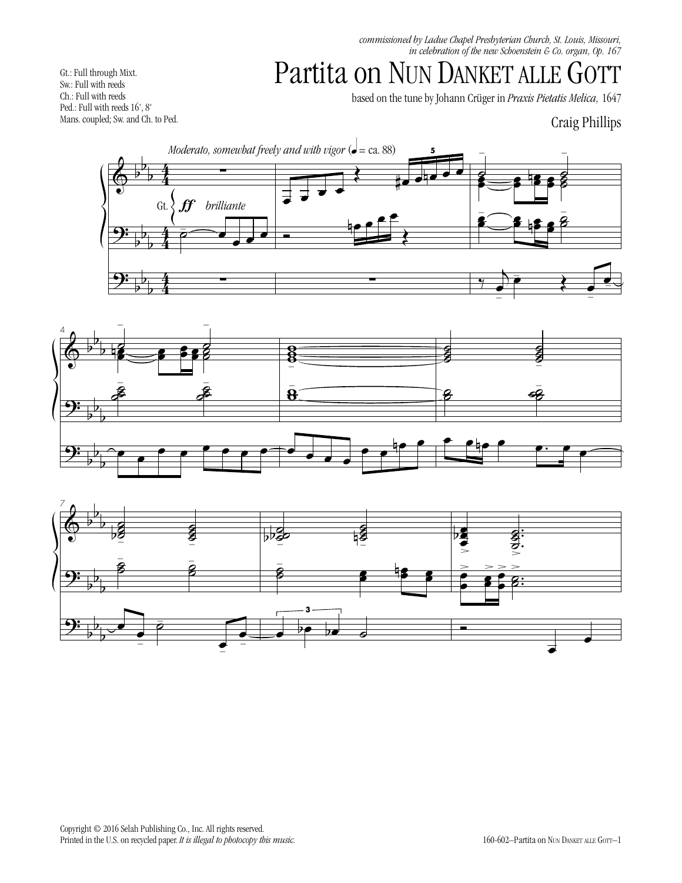*commissioned by Ladue Chapel Presbyterian Church, St. Louis, Missouri, in celebration of the new Schoenstein & Co. organ, Op. 167*

## Partita on NUN DANKET ALLE GOTT

Gt.: Full through Mixt. Sw.: Full with reeds Ch.: Full with reeds Ped.: Full with reeds 16', 8' Mans. coupled; Sw. and Ch. to Ped.

based on the tune by Johann Crüger in *Praxis Pietatis Melica,* 1647

Craig Phillips





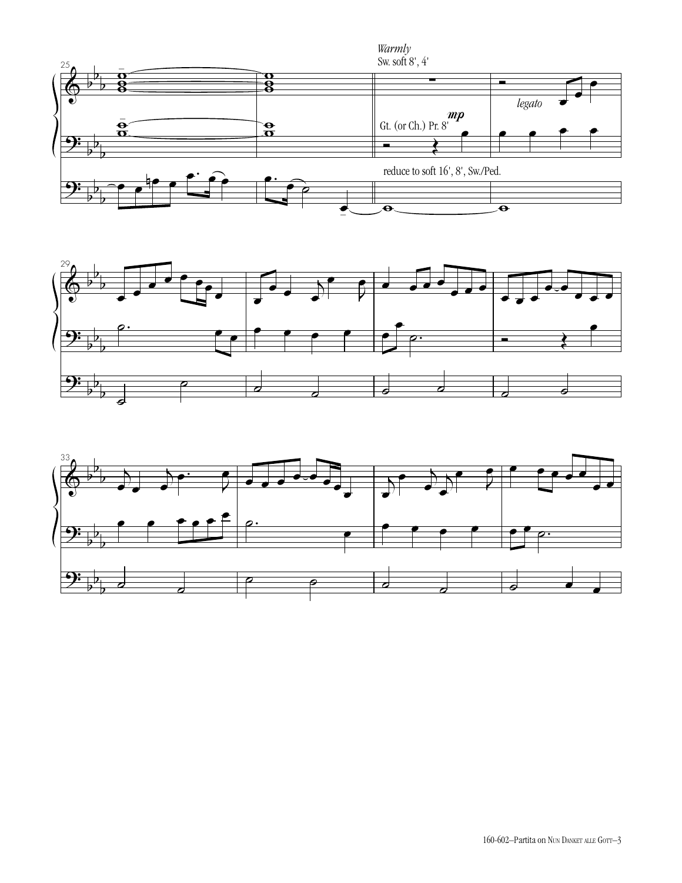



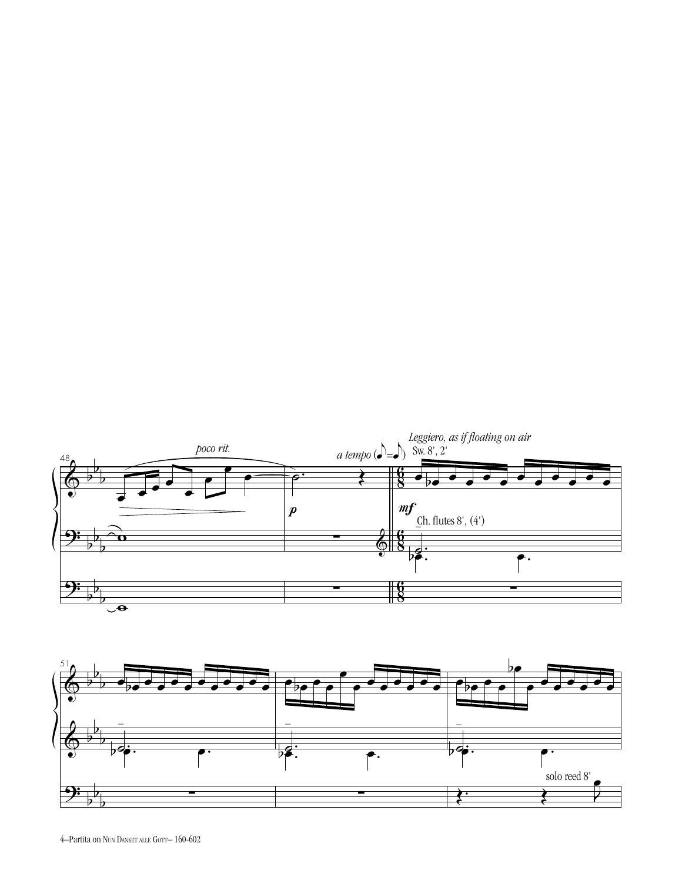

*Leggiero, as if floating on air*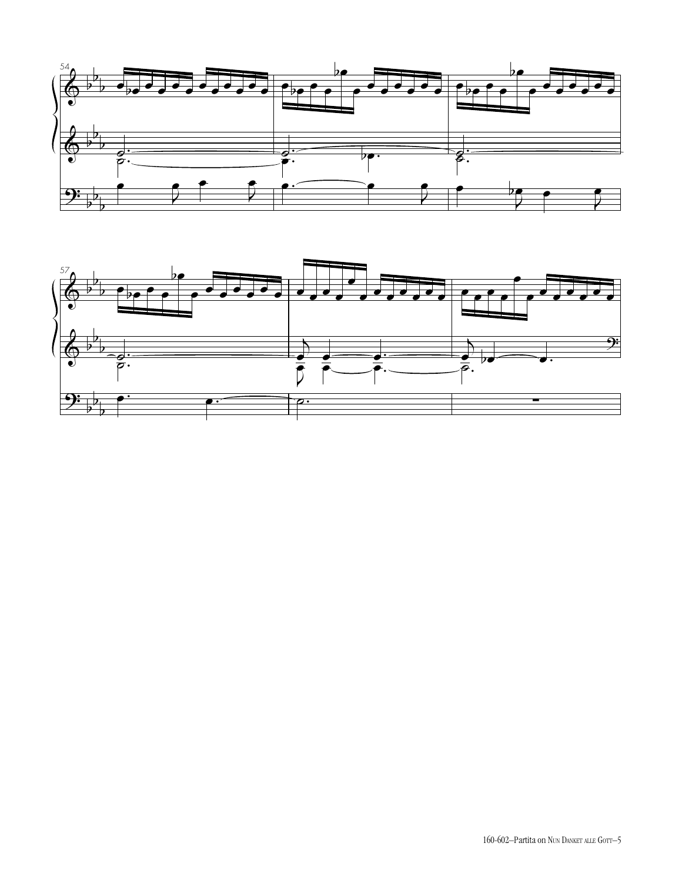

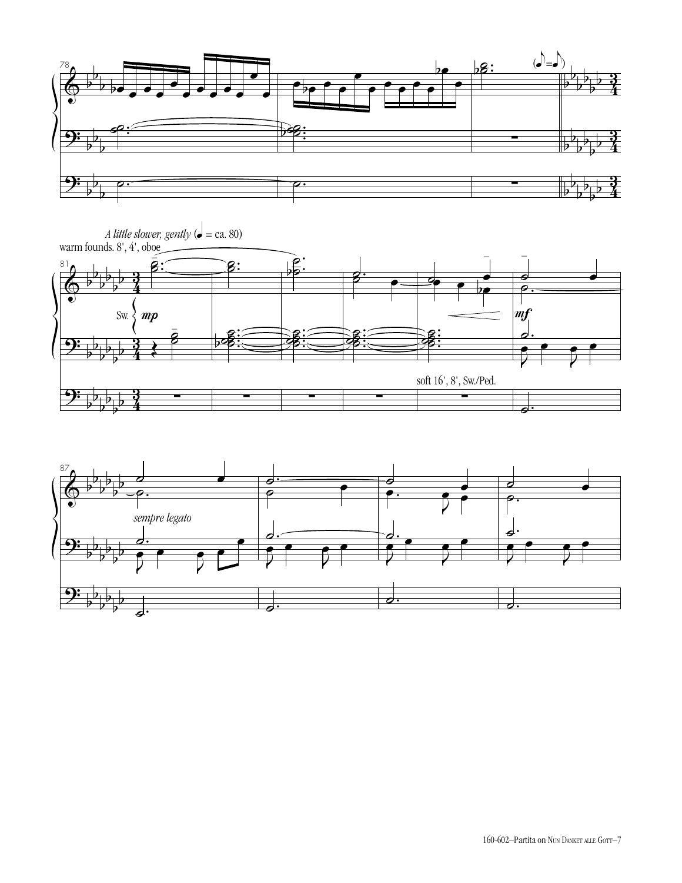



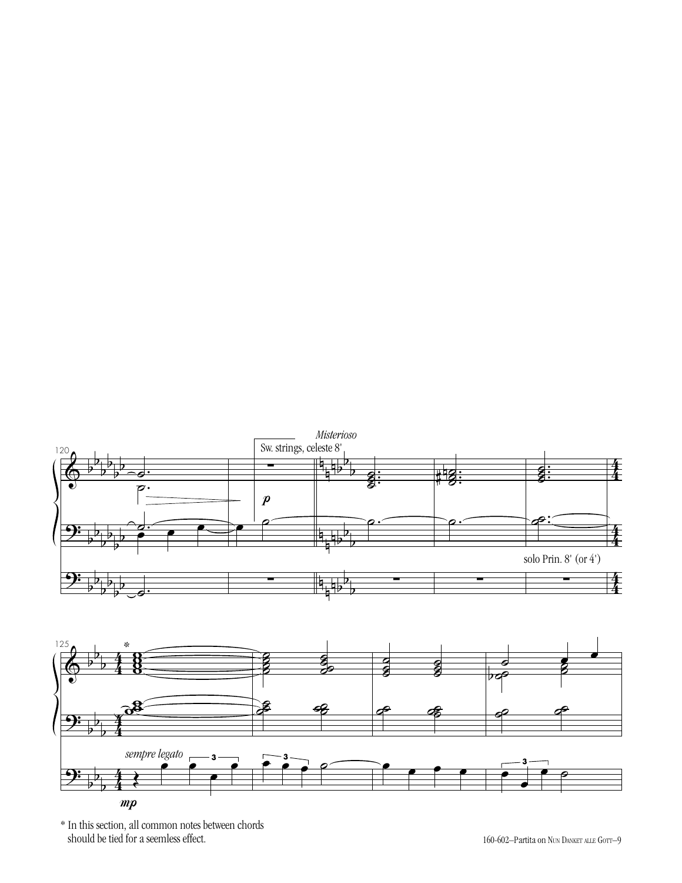



\* In this section, all common notes between chords should be tied for a seemless effect.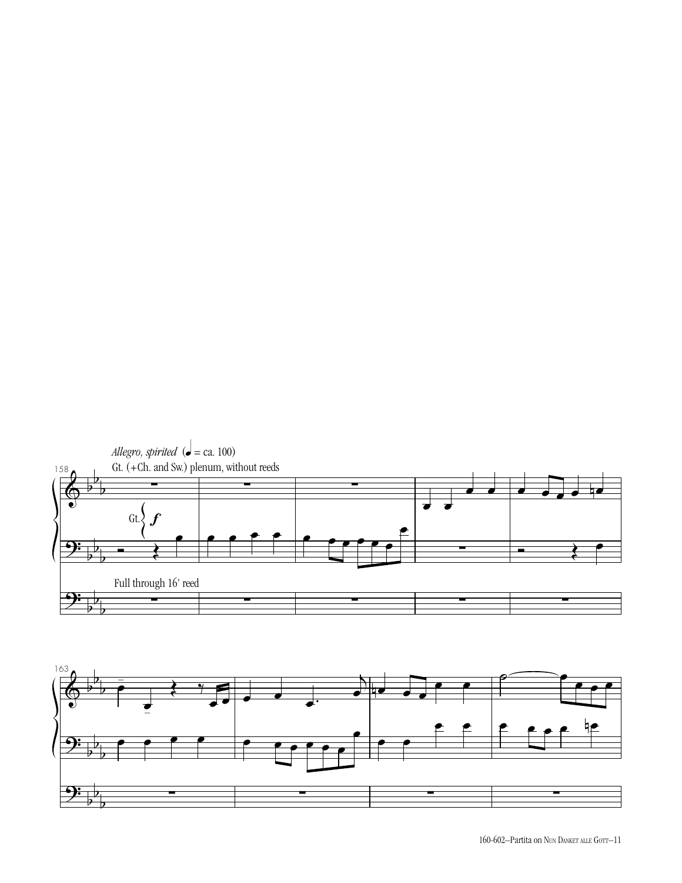

*Allegro, spirited* ( $\bullet$  = ca. 100)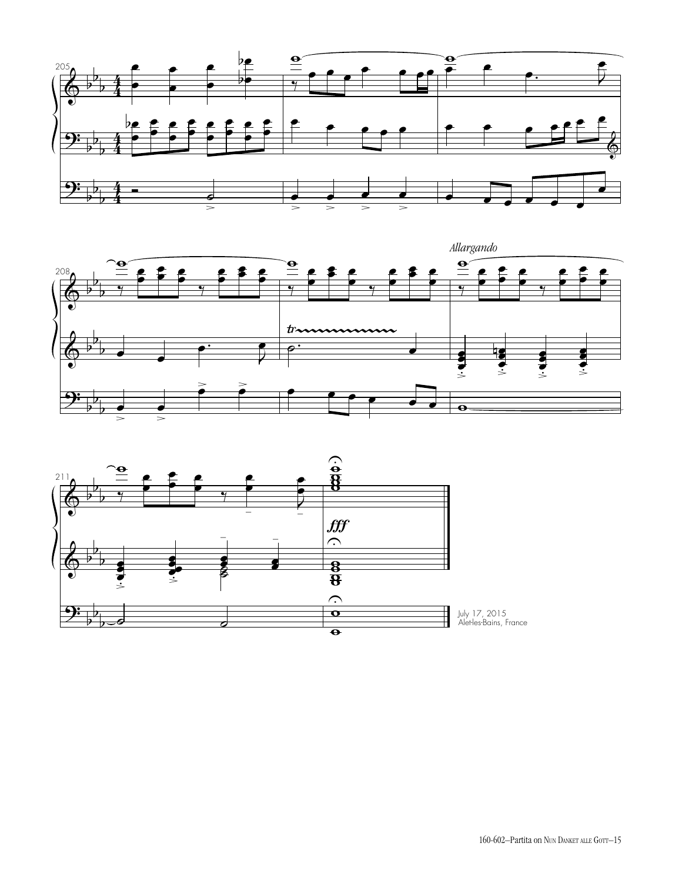